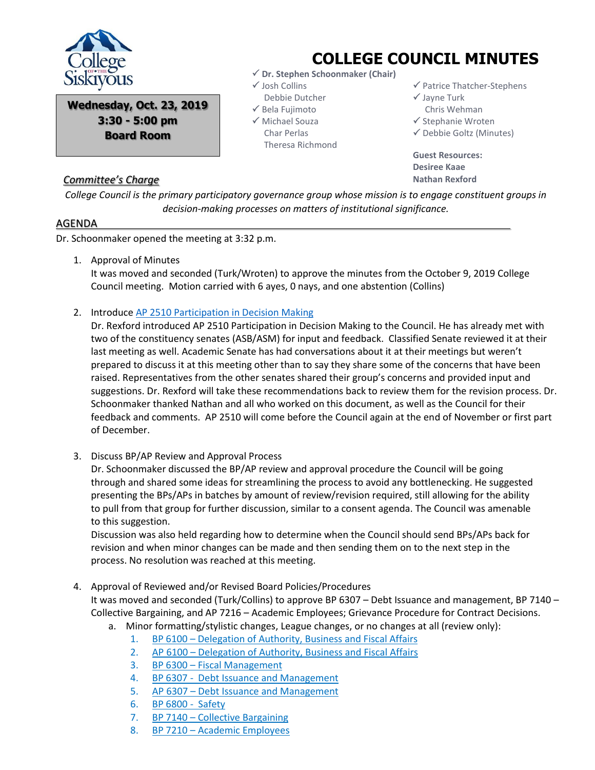

**Wednesday, Oct. 23, 2019 3:30 - 5:00 pm Board Room**

## *Committee's Charge*

## **COLLEGE COUNCIL MINUTES**

- **Dr. Stephen Schoonmaker (Chair)**
- Josh Collins Debbie Dutcher
- $\checkmark$  Bela Fujimoto Michael Souza Char Perlas
	- Theresa Richmond

 $\checkmark$  Patrice Thatcher-Stephens

 $\checkmark$  Jayne Turk

Chris Wehman

 $\checkmark$  Stephanie Wroten

 $\checkmark$  Debbie Goltz (Minutes)

**Guest Resources: Desiree Kaae Nathan Rexford**

*College Council is the primary participatory governance group whose mission is to engage constituent groups in decision-making processes on matters of institutional significance.*

## AGENDA

Dr. Schoonmaker opened the meeting at 3:32 p.m.

1. Approval of Minutes

It was moved and seconded (Turk/Wroten) to approve the minutes from the October 9, 2019 College Council meeting. Motion carried with 6 ayes, 0 nays, and one abstention (Collins)

2. Introduce [AP 2510 Participation in Decision Making](file:///C:/Users/dgoltz/OneDrive%20-%20siskiyous.edu/College%20Council%20Working%20Documents/APs%20&%20BPs%20for%20CC%20review/AP%202510%20Last%20Edits%2010-10-19.pdf)

Dr. Rexford introduced AP 2510 Participation in Decision Making to the Council. He has already met with two of the constituency senates (ASB/ASM) for input and feedback. Classified Senate reviewed it at their last meeting as well. Academic Senate has had conversations about it at their meetings but weren't prepared to discuss it at this meeting other than to say they share some of the concerns that have been raised. Representatives from the other senates shared their group's concerns and provided input and suggestions. Dr. Rexford will take these recommendations back to review them for the revision process. Dr. Schoonmaker thanked Nathan and all who worked on this document, as well as the Council for their feedback and comments. AP 2510 will come before the Council again at the end of November or first part of December.

3. Discuss BP/AP Review and Approval Process

Dr. Schoonmaker discussed the BP/AP review and approval procedure the Council will be going through and shared some ideas for streamlining the process to avoid any bottlenecking. He suggested presenting the BPs/APs in batches by amount of review/revision required, still allowing for the ability to pull from that group for further discussion, similar to a consent agenda. The Council was amenable to this suggestion.

Discussion was also held regarding how to determine when the Council should send BPs/APs back for revision and when minor changes can be made and then sending them on to the next step in the process. No resolution was reached at this meeting.

4. Approval of Reviewed and/or Revised Board Policies/Procedures It was moved and seconded (Turk/Collins) to approve BP 6307 – Debt Issuance and management, BP 7140 – Collective Bargaining, and AP 7216 – Academic Employees; Grievance Procedure for Contract Decisions.

- a. Minor formatting/stylistic changes, League changes, or no changes at all (review only):
	- 1. BP 6100 [Delegation of Authority, Business and Fiscal Affairs](file:///C:/Users/dgoltz/OneDrive%20-%20siskiyous.edu/College%20Council%20Working%20Documents/APs%20&%20BPs%20for%20CC%20review/BP%206100%20V.pdf)
	- 2. AP 6100 [Delegation of Authority, Business and Fiscal Affairs](file:///C:/Users/dgoltz/OneDrive%20-%20siskiyous.edu/College%20Council%20Working%20Documents/APs%20&%20BPs%20for%20CC%20review/AP%206100%20III.pdf)
	- 3. BP 6300 [Fiscal Management](file:///C:/Users/dgoltz/OneDrive%20-%20siskiyous.edu/College%20Council%20Working%20Documents/APs%20&%20BPs%20for%20CC%20review/BP%206300%20IV.pdf)
	- 4. [BP 6307 Debt Issuance and Management](file:///C:/Users/dgoltz/OneDrive%20-%20siskiyous.edu/College%20Council%20Working%20Documents/APs%20&%20BPs%20for%20CC%20review/AP%206307%20III.pdf)
	- 5. AP 6307 [Debt Issuance and Management](file:///C:/Users/dgoltz/OneDrive%20-%20siskiyous.edu/College%20Council%20Working%20Documents/APs%20&%20BPs%20for%20CC%20review/AP%206307%20III.pdf)
	- 6. [BP 6800 Safety](file:///C:/Users/dgoltz/OneDrive%20-%20siskiyous.edu/College%20Council%20Working%20Documents/APs%20&%20BPs%20for%20CC%20review/BP%206800%20II.pdf)
	- 7. BP 7140 [Collective Bargaining](file:///C:/Users/dgoltz/OneDrive%20-%20siskiyous.edu/College%20Council%20Working%20Documents/APs%20&%20BPs%20for%20CC%20review/BP%207140%20V.pdf)
	- 8. BP 7210 [Academic Employees](file:///C:/Users/dgoltz/OneDrive%20-%20siskiyous.edu/College%20Council%20Working%20Documents/APs%20&%20BPs%20for%20CC%20review/BP%207210%20VIII.pdf)